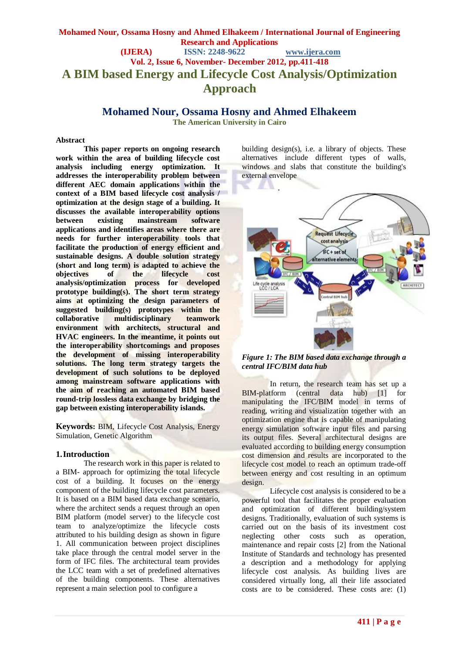# **Mohamed Nour, Ossama Hosny and Ahmed Elhakeem / International Journal of Engineering Research and Applications (IJERA) ISSN: 2248-9622 www.ijera.com Vol. 2, Issue 6, November- December 2012, pp.411-418 A BIM based Energy and Lifecycle Cost Analysis/Optimization Approach**

**Mohamed Nour, Ossama Hosny and Ahmed Elhakeem**

**The American University in Cairo**

#### **Abstract**

**This paper reports on ongoing research work within the area of building lifecycle cost analysis including energy optimization. It addresses the interoperability problem between different AEC domain applications within the context of a BIM based lifecycle cost analysis / optimization at the design stage of a building. It discusses the available interoperability options between existing mainstream software applications and identifies areas where there are needs for further interoperability tools that facilitate the production of energy efficient and sustainable designs. A double solution strategy (short and long term) is adapted to achieve the objectives of the lifecycle cost analysis/optimization process for developed prototype building(s). The short term strategy aims at optimizing the design parameters of suggested building(s) prototypes within the collaborative multidisciplinary teamwork environment with architects, structural and HVAC engineers. In the meantime, it points out the interoperability shortcomings and proposes the development of missing interoperability solutions. The long term strategy targets the development of such solutions to be deployed among mainstream software applications with the aim of reaching an automated BIM based round-trip lossless data exchange by bridging the gap between existing interoperability islands.**

**Keywords:** BIM, Lifecycle Cost Analysis, Energy Simulation, Genetic Algorithm

### **1.Introduction**

The research work in this paper is related to a BIM- approach for optimizing the total lifecycle cost of a building. It focuses on the energy component of the building lifecycle cost parameters. It is based on a BIM based data exchange scenario, where the architect sends a request through an open BIM platform (model server) to the lifecycle cost team to analyze/optimize the lifecycle costs attributed to his building design as shown in figure 1. All communication between project disciplines take place through the central model server in the form of IFC files. The architectural team provides the LCC team with a set of predefined alternatives of the building components. These alternatives represent a main selection pool to configure a

building design(s), i.e. a library of objects. These alternatives include different types of walls, windows and slabs that constitute the building's external envelope



*Figure 1: The BIM based data exchange through a central IFC/BIM data hub*

In return, the research team has set up a BIM-platform (central data hub) [1] for manipulating the IFC/BIM model in terms of reading, writing and visualization together with an optimization engine that is capable of manipulating energy simulation software input files and parsing its output files. Several architectural designs are evaluated according to building energy consumption cost dimension and results are incorporated to the lifecycle cost model to reach an optimum trade-off between energy and cost resulting in an optimum design.

Lifecycle cost analysis is considered to be a powerful tool that facilitates the proper evaluation and optimization of different building/system designs. Traditionally, evaluation of such systems is carried out on the basis of its investment cost neglecting other costs such as operation, maintenance and repair costs [2] from the National Institute of Standards and technology has presented a description and a methodology for applying lifecycle cost analysis. As building lives are considered virtually long, all their life associated costs are to be considered. These costs are: (1)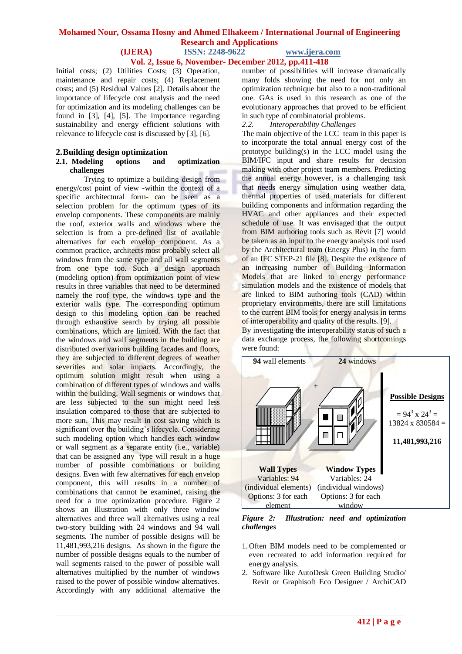# **Vol. 2, Issue 6, November- December 2012, pp.411-418**

Initial costs; (2) Utilities Costs; (3) Operation, maintenance and repair costs; (4) Replacement costs; and (5) Residual Values [2]. Details about the importance of lifecycle cost analysis and the need for optimization and its modeling challenges can be found in [3], [4], [5]. The importance regarding sustainability and energy efficient solutions with relevance to lifecycle cost is discussed by [3], [6].

### **2.Building design optimization**

#### **2.1. Modeling options and optimization challenges**

Trying to optimize a building design from energy/cost point of view -within the context of a specific architectural form- can be seen as a selection problem for the optimum types of its envelop components. These components are mainly the roof, exterior walls and windows where the selection is from a pre-defined list of available alternatives for each envelop component. As a common practice, architects most probably select all windows from the same type and all wall segments from one type too. Such a design approach (modeling option) from optimization point of view results in three variables that need to be determined namely the roof type, the windows type and the exterior walls type. The corresponding optimum design to this modeling option can be reached through exhaustive search by trying all possible combinations, which are limited. With the fact that the windows and wall segments in the building are distributed over various building facades and floors, they are subjected to different degrees of weather severities and solar impacts. Accordingly, the optimum solution might result when using a combination of different types of windows and walls within the building. Wall segments or windows that are less subjected to the sun might need less insulation compared to those that are subjected to more sun. This may result in cost saving which is significant over the building's lifecycle. Considering such modeling option which handles each window or wall segment as a separate entity (i.e., variable) that can be assigned any type will result in a huge number of possible combinations or building designs. Even with few alternatives for each envelop component, this will results in a number of combinations that cannot be examined, raising the need for a true optimization procedure. Figure 2 shows an illustration with only three window alternatives and three wall alternatives using a real two-story building with 24 windows and 94 wall segments. The number of possible designs will be 11,481,993,216 designs. As shown in the figure the number of possible designs equals to the number of wall segments raised to the power of possible wall alternatives multiplied by the number of windows raised to the power of possible window alternatives. Accordingly with any additional alternative the

number of possibilities will increase dramatically many folds showing the need for not only an optimization technique but also to a non-traditional one. GAs is used in this research as one of the evolutionary approaches that proved to be efficient in such type of combinatorial problems.

*2.2. Interoperability Challenges* 

The main objective of the LCC team in this paper is to incorporate the total annual energy cost of the prototype building(s) in the LCC model using the BIM/IFC input and share results for decision making with other project team members. Predicting the annual energy however, is a challenging task that needs energy simulation using weather data, thermal properties of used materials for different building components and information regarding the HVAC and other appliances and their expected schedule of use. It was envisaged that the output from BIM authoring tools such as Revit [7] would be taken as an input to the energy analysis tool used by the Architectural team (Energy Plus) in the form of an IFC STEP-21 file [8]. Despite the existence of an increasing number of Building Information Models that are linked to energy performance simulation models and the existence of models that are linked to BIM authoring tools (CAD) within proprietary environments, there are still limitations to the current BIM tools for energy analysis in terms of interoperability and quality of the results. [9].

By investigating the interoperability status of such a data exchange process, the following shortcomings were found:



*Figure 2: Illustration: need and optimization challenges*

- 1. Often BIM models need to be complemented or even recreated to add information required for energy analysis.
- 2. Software like AutoDesk Green Building Studio/ Revit or Graphisoft Eco Designer / ArchiCAD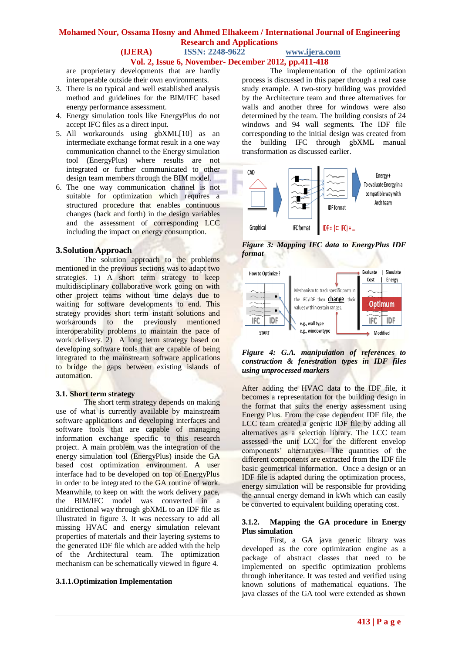# **Mohamed Nour, Ossama Hosny and Ahmed Elhakeem / International Journal of Engineering Research and Applications**

#### **(IJERA) ISSN: 2248-9622 www.ijera.com Vol. 2, Issue 6, November- December 2012, pp.411-418**

are proprietary developments that are hardly interoperable outside their own environments.

- 3. There is no typical and well established analysis method and guidelines for the BIM/IFC based energy performance assessment.
- 4. Energy simulation tools like EnergyPlus do not accept IFC files as a direct input.
- 5. All workarounds using gbXML[10] as an intermediate exchange format result in a one way communication channel to the Energy simulation tool (EnergyPlus) where results are not integrated or further communicated to other design team members through the BIM model.
- 6. The one way communication channel is not suitable for optimization which requires a structured procedure that enables continuous changes (back and forth) in the design variables and the assessment of corresponding LCC including the impact on energy consumption.

## **3.Solution Approach**

The solution approach to the problems mentioned in the previous sections was to adapt two strategies. 1) A short term strategy to keep multidisciplinary collaborative work going on with other project teams without time delays due to waiting for software developments to end. This strategy provides short term instant solutions and workarounds to the previously mentioned interoperability problems to maintain the pace of work delivery. 2) A long term strategy based on developing software tools that are capable of being integrated to the mainstream software applications to bridge the gaps between existing islands of automation.

#### **3.1. Short term strategy**

The short term strategy depends on making use of what is currently available by mainstream software applications and developing interfaces and software tools that are capable of managing information exchange specific to this research project. A main problem was the integration of the energy simulation tool (EnergyPlus) inside the GA based cost optimization environment. A user interface had to be developed on top of EnergyPlus in order to be integrated to the GA routine of work. Meanwhile, to keep on with the work delivery pace, the BIM/IFC model was converted in a unidirectional way through gbXML to an IDF file as illustrated in figure 3. It was necessary to add all missing HVAC and energy simulation relevant properties of materials and their layering systems to the generated IDF file which are added with the help of the Architectural team. The optimization mechanism can be schematically viewed in figure 4.

## **3.1.1.Optimization Implementation**

The implementation of the optimization process is discussed in this paper through a real case study example. A two-story building was provided by the Architecture team and three alternatives for walls and another three for windows were also determined by the team. The building consists of 24 windows and 94 wall segments. The IDF file corresponding to the initial design was created from the building IFC through gbXML manual transformation as discussed earlier.



*Figure 3: Mapping IFC data to EnergyPlus IDF format*



*Figure 4: G.A. manipulation of references to construction & fenestration types in IDF files using unprocessed markers*

After adding the HVAC data to the IDF file, it becomes a representation for the building design in the format that suits the energy assessment using Energy Plus. From the case dependent IDF file, the LCC team created a generic IDF file by adding all alternatives as a selection library. The LCC team assessed the unit LCC for the different envelop components' alternatives. The quantities of the different components are extracted from the IDF file basic geometrical information. Once a design or an IDF file is adapted during the optimization process, energy simulation will be responsible for providing the annual energy demand in kWh which can easily be converted to equivalent building operating cost.

#### **3.1.2. Mapping the GA procedure in Energy Plus simulation**

First, a GA java generic library was developed as the core optimization engine as a package of abstract classes that need to be implemented on specific optimization problems through inheritance. It was tested and verified using known solutions of mathematical equations. The java classes of the GA tool were extended as shown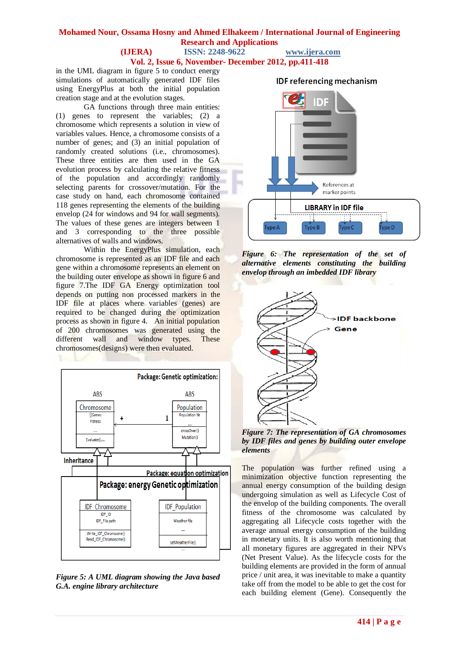**Vol. 2, Issue 6, November- December 2012, pp.411-418**

in the UML diagram in figure 5 to conduct energy simulations of automatically generated IDF files using EnergyPlus at both the initial population creation stage and at the evolution stages.

GA functions through three main entities: (1) genes to represent the variables; (2) a chromosome which represents a solution in view of variables values. Hence, a chromosome consists of a number of genes; and (3) an initial population of randomly created solutions (i.e., chromosomes). These three entities are then used in the GA evolution process by calculating the relative fitness of the population and accordingly randomly selecting parents for crossover/mutation. For the case study on hand, each chromosome contained 118 genes representing the elements of the building envelop (24 for windows and 94 for wall segments). The values of these genes are integers between 1 and 3 corresponding to the three possible alternatives of walls and windows.

Within the EnergyPlus simulation, each chromosome is represented as an IDF file and each gene within a chromosome represents an element on the building outer envelope as shown in figure 6 and figure 7.The IDF GA Energy optimization tool depends on putting non processed markers in the IDF file at places where variables (genes) are required to be changed during the optimization process as shown in figure 4. An initial population of 200 chromosomes was generated using the different wall and window types. These chromosomes(designs) were then evaluated.



*Figure 5: A UML diagram showing the Java based G.A. engine library architecture*



*Figure 6: The representation of the set of alternative elements constituting the building envelop through an imbedded IDF library*



*Figure 7: The representation of GA chromosomes by IDF files and genes by building outer envelope elements*

The population was further refined using a minimization objective function representing the annual energy consumption of the building design undergoing simulation as well as Lifecycle Cost of the envelop of the building components. The overall fitness of the chromosome was calculated by aggregating all Lifecycle costs together with the average annual energy consumption of the building in monetary units. It is also worth mentioning that all monetary figures are aggregated in their NPVs (Net Present Value). As the lifecycle costs for the building elements are provided in the form of annual price / unit area, it was inevitable to make a quantity take off from the model to be able to get the cost for each building element (Gene). Consequently the

# **IDF referencing mechanism**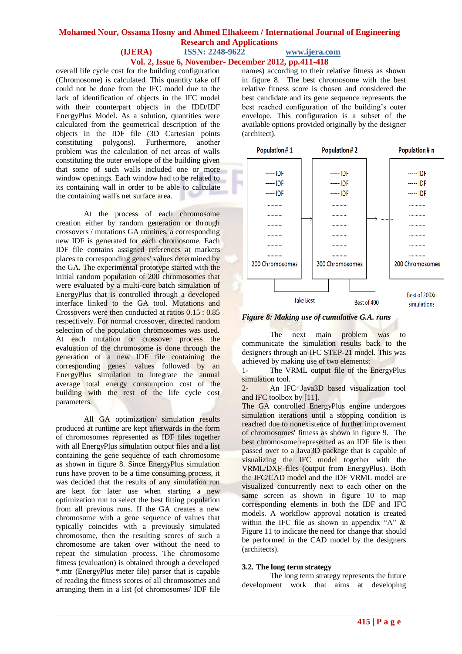# **Vol. 2, Issue 6, November- December 2012, pp.411-418**

overall life cycle cost for the building configuration (Chromosome) is calculated. This quantity take off could not be done from the IFC model due to the lack of identification of objects in the IFC model with their counterpart objects in the IDD/IDF EnergyPlus Model. As a solution, quantities were calculated from the geometrical description of the objects in the IDF file (3D Cartesian points constituting polygons). Furthermore, another problem was the calculation of net areas of walls constituting the outer envelope of the building given that some of such walls included one or more window openings. Each window had to be related to its containing wall in order to be able to calculate the containing wall's net surface area.

At the process of each chromosome creation either by random generation or through crossovers / mutations GA routines, a corresponding new IDF is generated for each chromosome. Each IDF file contains assigned references at markers places to corresponding genes' values determined by the GA. The experimental prototype started with the initial random population of 200 chromosomes that were evaluated by a multi-core batch simulation of EnergyPlus that is controlled through a developed interface linked to the GA tool. Mutations and Crossovers were then conducted at ratios 0.15 : 0.85 respectively. For normal crossover, directed random selection of the population chromosomes was used. At each mutation or crossover process the evaluation of the chromosome is done through the generation of a new IDF file containing the corresponding genes' values followed by an EnergyPlus simulation to integrate the annual average total energy consumption cost of the building with the rest of the life cycle cost parameters.

All GA optimization/ simulation results produced at runtime are kept afterwards in the form of chromosomes represented as IDF files together with all EnergyPlus simulation output files and a list containing the gene sequence of each chromosome as shown in figure 8. Since EnergyPlus simulation runs have proven to be a time consuming process, it was decided that the results of any simulation run are kept for later use when starting a new optimization run to select the best fitting population from all previous runs. If the GA creates a new chromosome with a gene sequence of values that typically coincides with a previously simulated chromosome, then the resulting scores of such a chromosome are taken over without the need to repeat the simulation process. The chromosome fitness (evaluation) is obtained through a developed \*.mtr (EnergyPlus meter file) parser that is capable of reading the fitness scores of all chromosomes and arranging them in a list (of chromosomes/ IDF file

names) according to their relative fitness as shown in figure 8. The best chromosome with the best relative fitness score is chosen and considered the best candidate and its gene sequence represents the best reached configuration of the building's outer envelope. This configuration is a subset of the available options provided originally by the designer (architect).



*Figure 8: Making use of cumulative G.A. runs*

The next main problem was to communicate the simulation results back to the designers through an IFC STEP-21 model. This was achieved by making use of two elements:

1- The VRML output file of the EnergyPlus simulation tool.

2- An IFC Java3D based visualization tool and IFC toolbox by [11].

The GA controlled EnergyPlus engine undergoes simulation iterations until a stopping condition is reached due to nonexistence of further improvement of chromosomes' fitness as shown in figure 9. The best chromosome represented as an IDF file is then passed over to a Java3D package that is capable of visualizing the IFC model together with the VRML/DXF files (output from EnergyPlus). Both the IFC/CAD model and the IDF VRML model are visualized concurrently next to each other on the same screen as shown in figure 10 to map corresponding elements in both the IDF and IFC models. A workflow approval notation is created within the IFC file as shown in appendix "A"  $\&$ Figure 11 to indicate the need for change that should be performed in the CAD model by the designers (architects).

#### **3.2. The long term strategy**

The long term strategy represents the future development work that aims at developing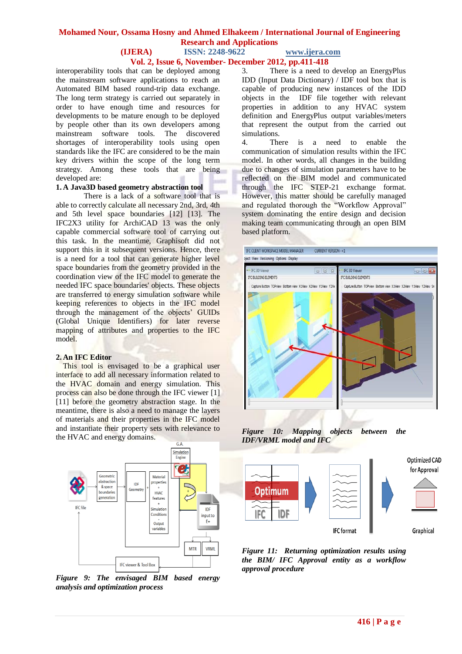# **Mohamed Nour, Ossama Hosny and Ahmed Elhakeem / International Journal of Engineering Research and Applications**

#### **(IJERA) ISSN: 2248-9622 www.ijera.com Vol. 2, Issue 6, November- December 2012, pp.411-418**

interoperability tools that can be deployed among the mainstream software applications to reach an Automated BIM based round-trip data exchange. The long term strategy is carried out separately in order to have enough time and resources for developments to be mature enough to be deployed by people other than its own developers among mainstream software tools. The discovered shortages of interoperability tools using open standards like the IFC are considered to be the main key drivers within the scope of the long term strategy. Among these tools that are being developed are:

#### **1. A Java3D based geometry abstraction tool**

There is a lack of a software tool that is able to correctly calculate all necessary 2nd, 3rd, 4th and 5th level space boundaries [12] [13]. The IFC2X3 utility for ArchiCAD 13 was the only capable commercial software tool of carrying out this task. In the meantime, Graphisoft did not support this in it subsequent versions. Hence, there is a need for a tool that can generate higher level space boundaries from the geometry provided in the coordination view of the IFC model to generate the needed IFC space boundaries' objects. These objects are transferred to energy simulation software while keeping references to objects in the IFC model through the management of the objects' GUIDs (Global Unique Identifiers) for later reverse mapping of attributes and properties to the IFC model.

#### **2. An IFC Editor**

This tool is envisaged to be a graphical user interface to add all necessary information related to the HVAC domain and energy simulation. This process can also be done through the IFC viewer [1] [11] before the geometry abstraction stage. In the meantime, there is also a need to manage the layers of materials and their properties in the IFC model and instantiate their property sets with relevance to the HVAC and energy domains.



*Figure 9: The envisaged BIM based energy analysis and optimization process*

3. There is a need to develop an EnergyPlus IDD (Input Data Dictionary) / IDF tool box that is capable of producing new instances of the IDD objects in the IDF file together with relevant properties in addition to any HVAC system definition and EnergyPlus output variables/meters that represent the output from the carried out simulations.

4. There is a need to enable the communication of simulation results within the IFC model. In other words, all changes in the building due to changes of simulation parameters have to be reflected on the BIM model and communicated through the IFC STEP-21 exchange format. However, this matter should be carefully managed and regulated thorough the "Workflow Approval" system dominating the entire design and decision making team communicating through an open BIM based platform.



*Figure 10: Mapping objects between the IDF/VRML model and IFC*



*Figure 11: Returning optimization results using the BIM/ IFC Approval entity as a workflow approval procedure*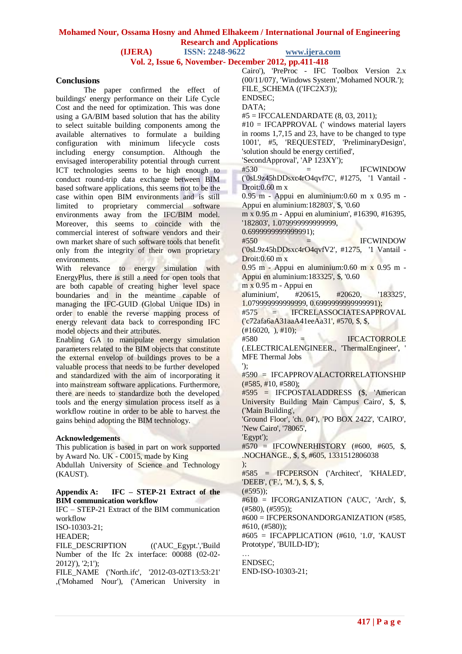**Vol. 2, Issue 6, November- December 2012, pp.411-418**

### **Conclusions**

The paper confirmed the effect of buildings' energy performance on their Life Cycle Cost and the need for optimization. This was done using a GA/BIM based solution that has the ability to select suitable building components among the available alternatives to formulate a building configuration with minimum lifecycle costs including energy consumption. Although the envisaged interoperability potential through current ICT technologies seems to be high enough to conduct round-trip data exchange between BIM based software applications, this seems not to be the case within open BIM environments and is still limited to proprietary commercial software environments away from the IFC/BIM model. Moreover, this seems to coincide with the commercial interest of software vendors and their own market share of such software tools that benefit only from the integrity of their own proprietary environments.

With relevance to energy simulation with EnergyPlus, there is still a need for open tools that are both capable of creating higher level space boundaries and in the meantime capable of managing the IFC-GUID (Global Unique IDs) in order to enable the reverse mapping process of energy relevant data back to corresponding IFC model objects and their attributes.

Enabling GA to manipulate energy simulation parameters related to the BIM objects that constitute the external envelop of buildings proves to be a valuable process that needs to be further developed and standardized with the aim of incorporating it into mainstream software applications. Furthermore, there are needs to standardize both the developed tools and the energy simulation process itself as a workflow routine in order to be able to harvest the gains behind adopting the BIM technology.

#### **Acknowledgements**

This publication is based in part on work supported by Award No. UK - C0015, made by King Abdullah University of Science and Technology (KAUST).

#### **Appendix A: IFC – STEP-21 Extract of the BIM communication workflow**

IFC – STEP-21 Extract of the BIM communication workflow ISO-10303-21; HEADER; FILE\_DESCRIPTION (('AUC\_Egypt.','Build Number of the Ifc 2x interface: 00088 (02-02- 2012)'), '2;1'); FILE\_NAME ('North.ifc', '2012-03-02T13:53:21' ,('Mohamed Nour'), ('American University in Cairo'), 'PreProc - IFC Toolbox Version 2.x (00/11/07)', 'Windows System','Mohamed NOUR.'); FILE\_SCHEMA (('IFC2X3')); ENDSEC; DATA; #5 = IFCCALENDARDATE (8, 03, 2011); #10 = IFCAPPROVAL (' windows material layers in rooms 1,7,15 and 23, have to be changed to type 1001', #5, 'REQUESTED', 'PreliminaryDesign', 'solution should be energy certified', 'SecondApproval', 'AP 123XY');  $#530 =$  IFCWINDOW ('0sL9z45hDDsxc4rO4qvf7C', #1275, '1 Vantail - Droit:0.60 m x 0.95 m - Appui en aluminium:0.60 m x 0.95 m - Appui en aluminium:182803', \$, '0.60 m x 0.95 m - Appui en aluminium', #16390, #16395, '182803', 1.079999999999999, 0.6999999999999991);  $#550 =$  IFCWINDOW ('0sL9z45hDDsxc4rO4qvfV2', #1275, '1 Vantail - Droit:0.60 m x 0.95 m - Appui en aluminium:0.60 m x 0.95 m - Appui en aluminium:183325', \$, '0.60 m x 0.95 m - Appui en aluminium', #20615, #20620, '183325', 1.079999999999999, 0.6999999999999991); #575 = IFCRELASSOCIATESAPPROVAL ('c72afa6aA31aaA41eeAa31', #570, \$, \$,  $(\text{\#}16020, ), \text{\#}10);$  $#580 =$  IFCACTORROLE (.ELECTRICALENGINEER., 'ThermalEngineer', ' MFE Thermal Jobs '); #590 = IFCAPPROVALACTORRELATIONSHIP (#585, #10, #580); #595 = IFCPOSTALADDRESS (\$, 'American University Building Main Campus Cairo', \$, \$, ('Main Building', 'Ground Floor', 'ch. 04'), 'PO BOX 2422', 'CAIRO', 'New Cairo', '78065', 'Egypt'); #570 = IFCOWNERHISTORY (#600, #605, \$, .NOCHANGE., \$, \$, #605, 1331512806038 ); #585 = IFCPERSON ('Architect', 'KHALED', 'DEEB', ('F.', 'M.'), \$, \$, \$,  $(H595)$ : #610 = IFCORGANIZATION ('AUC', 'Arch', \$, (#580), (#595)); #600 = IFCPERSONANDORGANIZATION (#585, #610, (#580)); #605 = IFCAPPLICATION (#610, '1.0', 'KAUST Prototype', 'BUILD-ID'); … ENDSEC; END-ISO-10303-21;